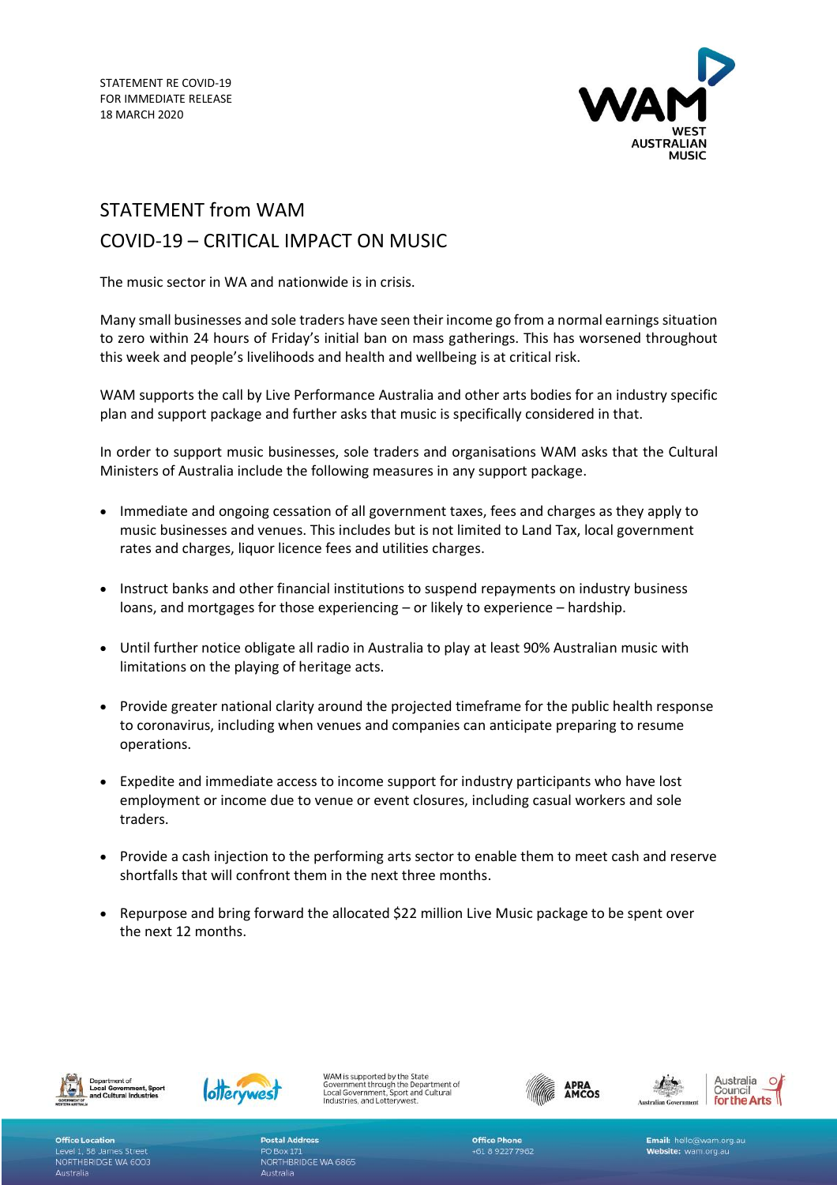

## STATEMENT from WAM

## COVID-19 – CRITICAL IMPACT ON MUSIC

The music sector in WA and nationwide is in crisis.

Many small businesses and sole traders have seen their income go from a normal earnings situation to zero within 24 hours of Friday's initial ban on mass gatherings. This has worsened throughout this week and people's livelihoods and health and wellbeing is at critical risk.

WAM supports the call by Live Performance Australia and other arts bodies for an industry specific plan and support package and further asks that music is specifically considered in that.

In order to support music businesses, sole traders and organisations WAM asks that the Cultural Ministers of Australia include the following measures in any support package.

- Immediate and ongoing cessation of all government taxes, fees and charges as they apply to music businesses and venues. This includes but is not limited to Land Tax, local government rates and charges, liquor licence fees and utilities charges.
- Instruct banks and other financial institutions to suspend repayments on industry business loans, and mortgages for those experiencing – or likely to experience – hardship.
- Until further notice obligate all radio in Australia to play at least 90% Australian music with limitations on the playing of heritage acts.
- Provide greater national clarity around the projected timeframe for the public health response to coronavirus, including when venues and companies can anticipate preparing to resume operations.
- Expedite and immediate access to income support for industry participants who have lost employment or income due to venue or event closures, including casual workers and sole traders.
- Provide a cash injection to the performing arts sector to enable them to meet cash and reserve shortfalls that will confront them in the next three months.
- Repurpose and bring forward the allocated \$22 million Live Music package to be spent over the next 12 months.





WAM is supported by the State WAM is supported by the State<br>Government through the Department of<br>Local Government, Sport and Cultural<br>Industries, and Lotterywest.







Office Location Level 1, 58 James Street NORTHBRIDGE WA 6003 Australia

**Postal Address PO Box 171** NORTHBRIDGE WA 6865 Australia



Email: hello@wam.org.au